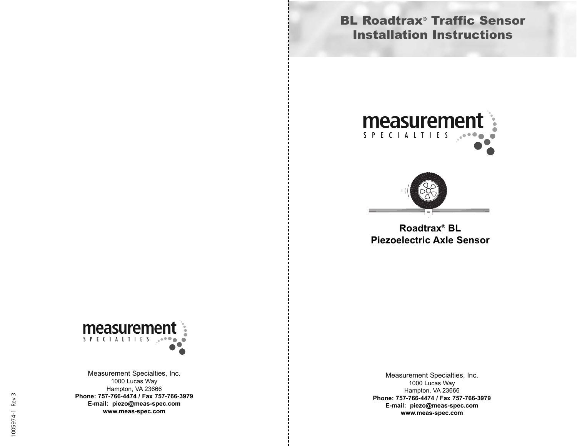## BL Roadtrax® Traffic Sensor Installation Instructions





**Roadtrax® BL Piezoelectric Axle Sensor**



Measurement Specialties, Inc. 1000 Lucas Way Hampton, VA 23666 **Phone: 757-766-4474 / Fax 757-766-3979 E-mail: piezo@meas-spec.com www.meas-spec.com**

Measurement Specialties, Inc. 1000 Lucas Way Hampton, VA 23666 **Phone: 757-766-4474 / Fax 757-766-3979 E-mail: piezo@meas-spec.com www.meas-spec.com**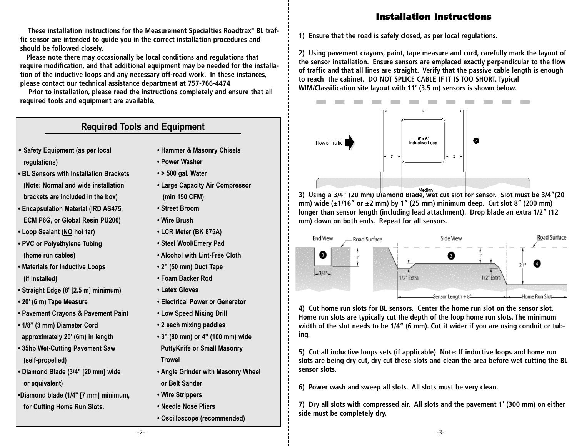## Installation Instructions

**These installation instructions for the Measurement Specialties Roadtrax® BL traffic sensor are intended to guide you in the correct installation procedures and should be followed closely.**

**Please note there may occasionally be local conditions and regulations that require modification, and that additional equipment may be needed for the installation of the inductive loops and any necessary off-road work. In these instances, please contact our technical assistance department at 757-766-4474**

**Prior to installation, please read the instructions completely and ensure that all required tools and equipment are available.**

## **Required Tools and Equipment**

- **• Safety Equipment (as per local regulations)**
- **BL Sensors with Installation Brackets (Note: Normal and wide installation brackets are included in the box)**
- **Encapsulation Material (IRD AS475, ECM P6G, or Global Resin PU200)**
- **Loop Sealant (NO hot tar)**
- **PVC or Polyethylene Tubing (home run cables)**
- **Materials for Inductive Loops (if installed)**
- **Straight Edge (8' [2.5 m] minimum)**
- **20' (6 m) Tape Measure**
- **Pavement Crayons & Pavement Paint**
- **1/8" (3 mm) Diameter Cord approximately 20' (6m) in length**
- **35hp Wet-Cutting Pavement Saw (self-propelled)**
- **Diamond Blade (3/4" [20 mm] wide or equivalent)**
- **•Diamond blade (1/4" [7 mm] minimum, for Cutting Home Run Slots.**
- **Hammer & Masonry Chisels**
- **Power Washer**
- **> 500 gal. Water**
- **Large Capacity Air Compressor (min 150 CFM)**
- **Street Broom**
- **Wire Brush**
- **LCR Meter (BK 875A)**
- **Steel Wool/Emery Pad**
- **Alcohol with Lint-Free Cloth**
- **2" (50 mm) Duct Tape**
- **Foam Backer Rod**
- **Latex Gloves**
- **Electrical Power or Generator**
- **Low Speed Mixing Drill**
- **2 each mixing paddles**
- **3" (80 mm) or 4" (100 mm) wide PuttyKnife or Small Masonry Trowel**
- **Angle Grinder with Masonry Wheel or Belt Sander**
- **Wire Strippers**
- **Needle Nose Pliers**
- **Oscilloscope (recommended)**

**1) Ensure that the road is safely closed, as per local regulations.**

**2) Using pavement crayons, paint, tape measure and cord, carefully mark the layout of the sensor installation. Ensure sensors are emplaced exactly perpendicular to the flow of traffic and that all lines are straight. Verify that the passive cable length is enough to reach the cabinet. DO NOT SPLICE CABLE IF IT IS TOO SHORT. Typical WIM/Classification site layout with 11' (3.5 m) sensors is shown below.**



**3) Using a 3/4" (20 mm) Diamond Blade, wet cut slot for sensor. Slot must be 3/4"(20 mm) wide (±1/16" or ±2 mm) by 1" (25 mm) minimum deep. Cut slot 8" (200 mm) longer than sensor length (including lead attachment). Drop blade an extra 1/2" (12 mm) down on both ends. Repeat for all sensors.**



**4) Cut home run slots for BL sensors. Center the home run slot on the sensor slot. Home run slots are typically cut the depth of the loop home run slots. The minimum width of the slot needs to be 1/4" (6 mm). Cut it wider if you are using conduit or tubing.**

**5) Cut all inductive loops sets (if applicable) Note: If inductive loops and home run slots are being dry cut, dry cut these slots and clean the area before wet cutting the BL sensor slots.**

**6) Power wash and sweep all slots. All slots must be very clean.**

**7) Dry all slots with compressed air. All slots and the pavement 1' (300 mm) on either side must be completely dry.**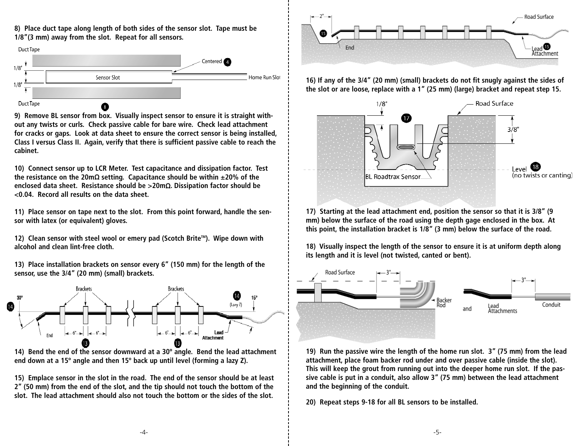**8) Place duct tape along length of both sides of the sensor slot. Tape must be 1/8"(3 mm) away from the slot. Repeat for all sensors.**



**9) Remove BL sensor from box. Visually inspect sensor to ensure it is straight without any twists or curls. Check passive cable for bare wire. Check lead attachment for cracks or gaps. Look at data sheet to ensure the correct sensor is being installed, Class I versus Class II. Again, verify that there is sufficient passive cable to reach the cabinet.**

**10) Connect sensor up to LCR Meter. Test capacitance and dissipation factor. Test the resistance on the 20m** <sup>S</sup> **setting. Capacitance should be within ±20% of the enclosed data sheet. Resistance should be >20m** <sup>S</sup>**. Dissipation factor should be <0.04. Record all results on the data sheet.**

**11) Place sensor on tape next to the slot. From this point forward, handle the sensor with latex (or equivalent) gloves.**

**12) Clean sensor with steel wool or emery pad (Scotch BriteTM). Wipe down with alcohol and clean lint-free cloth.**

**13) Place installation brackets on sensor every 6" (150 mm) for the length of the sensor, use the 3/4" (20 mm) (small) brackets.**



**14) Bend the end of the sensor downward at a 30º angle. Bend the lead attachment end down at a 15º angle and then 15º back up until level (forming a lazy Z).**

**15) Emplace sensor in the slot in the road. The end of the sensor should be at least 2" (50 mm) from the end of the slot, and the tip should not touch the bottom of the slot. The lead attachment should also not touch the bottom or the sides of the slot.**



**16) If any of the 3/4" (20 mm) (small) brackets do not fit snugly against the sides of the slot or are loose, replace with a 1" (25 mm) (large) bracket and repeat step 15.**



**17) Starting at the lead attachment end, position the sensor so that it is 3/8" (9 mm) below the surface of the road using the depth gage enclosed in the box. At this point, the installation bracket is 1/8" (3 mm) below the surface of the road.**

**18) Visually inspect the length of the sensor to ensure it is at uniform depth along its length and it is level (not twisted, canted or bent).**



**19) Run the passive wire the length of the home run slot. 3" (75 mm) from the lead attachment, place foam backer rod under and over passive cable (inside the slot). This will keep the grout from running out into the deeper home run slot. If the passive cable is put in a conduit, also allow 3" (75 mm) between the lead attachment and the beginning of the conduit.**

**20) Repeat steps 9-18 for all BL sensors to be installed.**